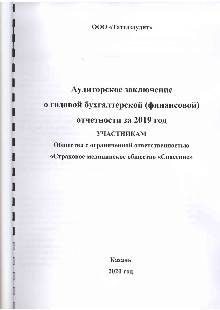ООО «Татгазаудит»

# Аудиторское заключение о годовой бухгалтерской (финансовой) отчетности за 2019 год **УЧАСТНИКАМ**

Общества с ограниченной ответственностью «Страховое медицинское общество «Спасение»

> Казань 2020 год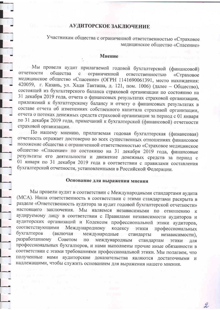### АУДИТОРСКОЕ ЗАКЛЮЧЕНИЕ

Участникам общества с ограниченной ответственностью «Страховое медицинское общество «Спасение»

#### Мнение

Мы провели аудит прилагаемой годовой бухгалтерской (финансовой) отчетности общества с ограниченной ответственностью «Страховое медицинское общество «Спасение» (ОГРН 1141690061391, место нахождения: 420059, г. Казань, ул. Хади Такташа, д. 121, пом. 1006) (далее - Общество), состоящей из бухгалтерского баланса страховой организации по состоянию на 31 декабря 2019 года, отчета о финансовых результатах страховой организации, приложений к бухгалтерскому балансу и отчету о финансовых результатах в составе отчета об изменениях собственного капитала страховой организации, отчета о потоках денежных средств страховой организации за период с 01 января по 31 декабря 2019 года, примечаний к бухгалтерской (финансовой) отчетности страховой организации.

По нашему мнению, прилагаемая годовая бухгалтерская (финансовая) отчетность отражает достоверно во всех существенных отношениях финансовое положение общества с ограниченной ответственностью «Страховое медицинское общество «Спасение» по состоянию на 31 декабря 2019 года, финансовые результаты его деятельности и движение денежных средств за период с 01 января по 31 декабря 2019 года в соответствии с правилами составления бухгалтерской отчетности, установленными в Российской Федерации.

#### Основание для выражения мнения

Мы провели аудит в соответствии с Международными стандартами аудита (МСА). Наша ответственность в соответствии с этими стандартами раскрыта в разделе «Ответственность аудитора за аудит годовой бухгалтерской отчетности» настоящего заключения. Мы являемся независимыми по отношению к аудируемому лицу в соответствии с Правилами независимости аудиторов и аудиторских организаций и Кодексом профессиональной этики аудиторов, соответствующими Международному кодексу этики профессиональных бухгалтеров (включая международные стандарты независимости), разработанному Советом по международным стандартам ЭТИКИ лля профессиональных бухгалтеров, и нами выполнены прочие иные обязанности в соответствии с этими требованиями профессиональной этики. Мы полагаем, что полученные нами аудиторские доказательства являются достаточными и надлежащими, чтобы служить основанием для выражения нашего мнения.

2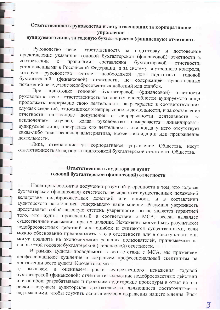#### Ответственность руководства и лиц, отвечающих за корпоративное управление

## аудируемого лица, за годовую бухгалтерскую (финансовую) отчетность

Руководство несет ответственность за подготовку и достоверное представление указанной годовой бухгалтерской (финансовой) отчетности в соответствии  $\mathbf{C}$ правилами составления бухгалтерской отчетности. установленными в Российской Федерации, и за систему внутреннего контроля, руководство считает необходимой которую ДЛЯ подготовки годовой бухгалтерской (финансовой) отчетности, не содержащей существенных искажений вследствие недобросовестных действий или ошибок.

При подготовке годовой бухгалтерской (финансовой) отчетности руководство несет ответственность за оценку способности аудируемого лица продолжать непрерывно свою деятельность, за раскрытие в соответствующих случаях сведений, относящихся к непрерывности деятельности, и за составление отчетности на допущения о непрерывности основе деятельности.  $3a$ исключением когда руководство намеревается ликвидировать случаев, аудируемое лицо, прекратить его деятельность или когда у него отсутствует какая-либо иная реальная альтернатива, кроме ликвидации или прекращения деятельности.

Лица, отвечающие за корпоративное управление Общества, несут ответственность за надзор за подготовкой бухгалтерской отчетности Общества.

#### Ответственность аудитора за аудит годовой бухгалтерской (финансовой) отчетности

Наша цель состоит в получении разумной уверенности в том, что годовая бухгалтерская (финансовая) отчетность не содержит существенных искажений вследствие недобросовестных действий или ошибок, и в составлении аудиторского заключения, содержащего наше мнение. Разумная уверенность представляет собой высокую степень уверенности, но не является гарантией того, что аудит, проведенный в соответствии с МСА, всегда выявляет существенные искажения при их наличии. Искажения могут быть результатом недобросовестных действий или ошибок и считаются существенными, если можно обоснованно предположить, что в отдельности или в совокупности они могут повлиять на экономические решения пользователей, принимаемые на основе этой годовой бухгалтерской (финансовой) отчетности.

В рамках аудита, проводимого в соответствии с МСА, мы применяем профессиональное суждение и сохраняем профессиональный скептицизм на протяжении всего аудита. Кроме того, мы:

и оцениваем риски существенного искажения годовой a) выявляем бухгалтерской (финансовой) отчетности вследствие недобросовестных действий или ошибок; разрабатываем и проводим аудиторские процедуры в ответ на эти риски; получаем аудиторские доказательства, являющиеся достаточными и надлежащими, чтобы служить основанием для выражения нашего мнения. Риск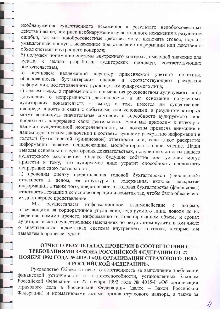необнаружения существенного искажения в результате недобросовестных действий выше, чем риск необнаружения существенного искажения в результате ошибки, так как недобросовестные действия могут включать сговор, подлог, умышленный пропуск, искаженное представление информации или действия в обход системы внутреннего контроля;

б) получаем понимание системы внутреннего контроля, имеющей значение для аудита, с целью разработки аудиторских процедур, соответствующих обстоятельствам;

надлежащий характер применяемой учетной B) оцениваем политики. обоснованность бухгалтерских оценок и соответствующего раскрытия информации, подготовленного руководством аудируемого лица;

г) делаем вывод о правомерности применения руководством аудируемого лица допущения о непрерывности деятельности, а на основании полученных аудиторских доказательств - вывод о том, имеется ли существенная неопределенность в связи с событиями или условиями, в результате которых могут возникнуть значительные сомнения в способности аудируемого лица продолжать непрерывно свою деятельность. Если мы приходим к выводу о наличии существенной неопределенности, мы должны привлечь внимание в нашем аудиторском заключении к соответствующему раскрытию информации в годовой бухгалтерской (финансовой) отчетности или, если такое раскрытие информации является ненадлежащим, модифицировать наше мнение. Наши выводы основаны на аудиторских доказательствах, полученных до даты нашего аудиторского заключения. Однако будущие события или условия могут привести к тому, что аудируемое лицо утратит способность продолжать непрерывно свою деятельность;

д) проводим оценку представления годовой бухгалтерской (финансовой) отчетности в целом, ее структуры и содержания, включая раскрытие информации, а также того, представляет ли годовая бухгалтерская (финансовая) отчетность лежащие в ее основе операции и события так, чтобы было обеспечено их достоверное представление.

Мы осуществляем информационное взаимодействие  $\overline{c}$ лицами, отвечающими за корпоративное управление, аудируемого лица, доводя до их сведения, помимо прочего, информацию о запланированном объеме и сроках аудита, а также о существенных замечаниях по результатам аудита, в том числе о значительных недостатках системы внутреннего контроля, которые мы выявляем в процессе аудита.

#### ОТЧЕТ О РЕЗУЛЬТАТАХ ПРОВЕРКИ В СООТВЕТСТВИИ С ТРЕБОВАНИЯМИ ЗАКОНА РОССИЙСКОЙ ФЕДЕРАЦИИ ОТ 27 НОЯБРЯ 1992 ГОДА № 4015-I «ОБ ОРГАНИЗАЦИИ СТРАХОВОГО ДЕЛА В РОССИЙСКОЙ ФЕДЕРАЦИИ».

Руководство Общества несет ответственность за выполнение требований финансовой устойчивости и платежеспособности, установленных Законом Российской Федерации от 27 ноября 1992 года № 4015-I «Об организации страхового дела в Российской Федерации» (далее - Закон Российской Федерации) и нормативными актами органа страхового надзора, а также за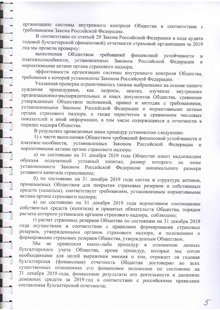организацию системы внутреннего контроля Общества в соответствии с требованиями Закона Российской Федерации.

В соответствии со статьей 29 Закона Российской Федерации в ходе аудита годовой бухгалтерской (финансовой) отчетности страховой организации за 2019 год мы провели проверку:

выполнения Обществом требований финансовой устойчивости  $\overline{M}$ платежеспособности, установленных Законом Российской Федерации  $\overline{M}$ нормативными актами органа страхового надзора;

эффективности организации системы внутреннего контроля Общества, требования к которой установлены Законом Российской Федерации.

Указанная проверка ограничивалась такими выбранными на основе нашего суждения процедурами, как запросы, анализ, изучение внутренних организационно-распорядительных и иных документов Общества, сравнение утвержденных Обществом положений, правил и методик с требованиями, установленными Законом Российской Федерации и нормативными актами органа страхового надзора, а также пересчетом и сравнением числовых показателей и иной информации, в том числе содержащихся в отчетности в порядке надзора Общества.

В результате проведенных нами процедур установлено следующее:

1) и части выполнения Обществом требований финансовой устойчивости и платежес пособности, установленных Законом Российской Федерации и нормативными актами органа страхового надзора:

а) по состоянию на 31 декабря 2019 года Общество имеет надлежащим образом оплаченный уставный капитал, размер которого He ниже установленного Законом Российской Федерации минимального размера уставного капитала страховщика;

б) по состоянию на 31 декабря 2019 года состав и структура активов, принимаемых Обществом для покрытия страховых резервов и собственных средств (капитала), соответствует требованиям, установленным нормативными актами органа страхового надзора;

в) по состоянию на 31 декабря 2019 года нормативное соотношение собственных средств (капитала) и принятых обязательств Общества, порядок расчета которого установлен органом страхового надзора, соблюдено;

г) расчет страховых резервов Общества по состоянию на 31 декабря 2019 года осуществлен в соответствии с правилами формирования страховых резервов, утвержденными органом страхового надзора, и положением о формировании страховых резервов Общества, утвержденным Обществом.

Мы He Проводили каких-либо процедур  $\, {\bf B}$ отношении данных бухгалтерского учета Общества, кроме процедур, которые МЫ сочли необходимыми для целей выражения мнения о том, отражает ли годовая бухгалтерская (финансовая) отчетность Общества достоверно **BO BCCX** существенных отношениях его финансовое положение по состоянию на 31 декабря 2019 года, финансовые результаты его деятельности и движение денежных средств за 2019 год в соответствии с российскими правилами составления бухгалтерской отчетности;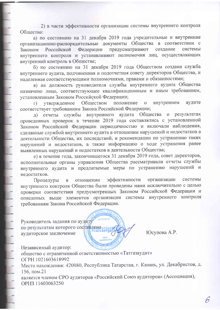2) в части эффективности организации системы внутреннего контроля Общества:

а) по состоянию на 31 декабря 2019 года учредительные и внутренние организационно-распорядительные документы Общества в соответствии с Федерации предусматривают создание системы Законом Российской внутреннего контроля и устанавливают полномочия лиц, осуществляющих внутренний контроль в Обществе;

б) по состоянию на 31 декабря 2019 года Обществом создана служба внутреннего аудита, подчиненная и подотчетная совету директоров Общества, и наделенная соответствующими полномочиями, правами и обязанностями;

в) на должность руководителя службы внутреннего аудита Общества назначено лицо, соответствующее квалификационным и иным требованиям, установленным Законом Российской Федерации;

Обществом положение внутреннем аудите  $\overline{O}$ үтвержденное  $\Gamma$ ) соответствует требованиям Закона Российской Федерации;

результатах отчеты службы внутреннего аудита Общества  $\overline{O}$  $\pi$ проведенных проверок в течение 2019 года составлялись с установленной Законом Российской Федерации периодичностью и включали наблюдения, сделанные службой внутреннего аудита в отношении нарушений и недостатков в деятельности Общества, их последствий, и рекомендации по устранению таких нарушений и недостатков, а также информацию о ходе устранения ранее выявленных нарушений и недостатков в деятельности Общества;

е) в течение года, закончившегося 31 декабря 2019 года, совет директоров, исполнительные органы управления Общества рассматривали отчеты службы внутреннего аудита и предлагаемые меры по устранению нарушений и недостатков.

эффективности организации системы Процедуры отношении  $\, {\bf B}$ внутреннего контроля Общества были проведены нами исключительно с целью проверки соответствия предусмотренных Законом Российской Федерации и описанных выше элементов организации системы внутреннего контроля требованиям Закона Российской Федерации.

 $073478/25$ 

Руководитель задания по аудиту по результатам которого составлено аудиторское заключение

Юсупова А.Р.

Независимый аудитор:

общество с ограниченной ответственностью «Татгазаудит» OFPH 1021603618992 Место нахождения: 420080, Республика Татарстан, г. Казань, ул. Декабристов, д. 156, пом.21 является членом СРО аудиторов «Российский Союз аудиторов» (Ассоциация), OPH3 11603063250